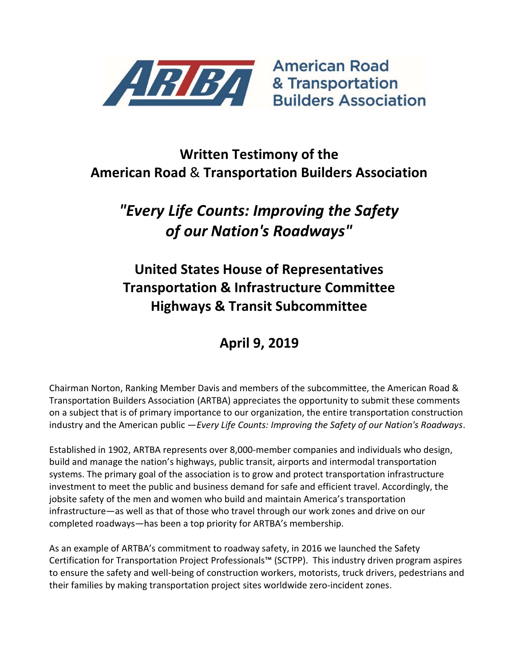

**American Road Builders Association** 

### Written Testimony of the American Road & Transportation Builders Association

# "Every Life Counts: Improving the Safety of our Nation's Roadways"

## United States House of Representatives Transportation & Infrastructure Committee Highways & Transit Subcommittee

## April 9, 2019

Chairman Norton, Ranking Member Davis and members of the subcommittee, the American Road & Transportation Builders Association (ARTBA) appreciates the opportunity to submit these comments on a subject that is of primary importance to our organization, the entire transportation construction industry and the American public - Every Life Counts: Improving the Safety of our Nation's Roadways.

Established in 1902, ARTBA represents over 8,000-member companies and individuals who design, build and manage the nation's highways, public transit, airports and intermodal transportation systems. The primary goal of the association is to grow and protect transportation infrastructure investment to meet the public and business demand for safe and efficient travel. Accordingly, the jobsite safety of the men and women who build and maintain America's transportation infrastructure—as well as that of those who travel through our work zones and drive on our completed roadways—has been a top priority for ARTBA's membership.

As an example of ARTBA's commitment to roadway safety, in 2016 we launched the Safety Certification for Transportation Project Professionals™ (SCTPP). This industry driven program aspires to ensure the safety and well-being of construction workers, motorists, truck drivers, pedestrians and their families by making transportation project sites worldwide zero-incident zones.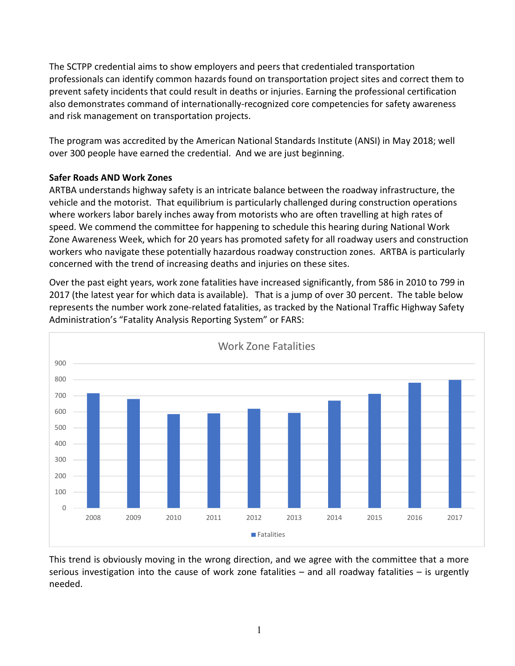The SCTPP credential aims to show employers and peers that credentialed transportation professionals can identify common hazards found on transportation project sites and correct them to prevent safety incidents that could result in deaths or injuries. Earning the professional certification also demonstrates command of internationally-recognized core competencies for safety awareness and risk management on transportation projects.

The program was accredited by the American National Standards Institute (ANSI) in May 2018; well over 300 people have earned the credential. And we are just beginning.

#### Safer Roads AND Work Zones

ARTBA understands highway safety is an intricate balance between the roadway infrastructure, the vehicle and the motorist. That equilibrium is particularly challenged during construction operations where workers labor barely inches away from motorists who are often travelling at high rates of speed. We commend the committee for happening to schedule this hearing during National Work Zone Awareness Week, which for 20 years has promoted safety for all roadway users and construction workers who navigate these potentially hazardous roadway construction zones. ARTBA is particularly concerned with the trend of increasing deaths and injuries on these sites.

Over the past eight years, work zone fatalities have increased significantly, from 586 in 2010 to 799 in 2017 (the latest year for which data is available). That is a jump of over 30 percent. The table below represents the number work zone-related fatalities, as tracked by the National Traffic Highway Safety Administration's "Fatality Analysis Reporting System" or FARS:



This trend is obviously moving in the wrong direction, and we agree with the committee that a more serious investigation into the cause of work zone fatalities  $-$  and all roadway fatalities  $-$  is urgently needed.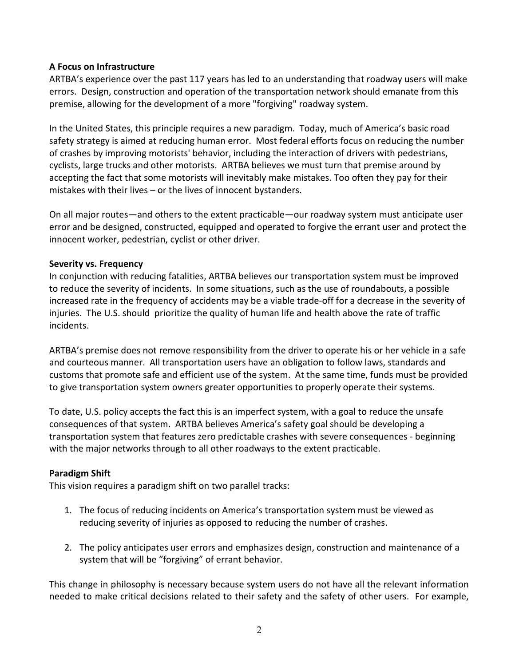#### A Focus on Infrastructure

ARTBA's experience over the past 117 years has led to an understanding that roadway users will make errors. Design, construction and operation of the transportation network should emanate from this premise, allowing for the development of a more "forgiving" roadway system.

In the United States, this principle requires a new paradigm. Today, much of America's basic road safety strategy is aimed at reducing human error. Most federal efforts focus on reducing the number of crashes by improving motorists' behavior, including the interaction of drivers with pedestrians, cyclists, large trucks and other motorists. ARTBA believes we must turn that premise around by accepting the fact that some motorists will inevitably make mistakes. Too often they pay for their mistakes with their lives – or the lives of innocent bystanders.

On all major routes—and others to the extent practicable—our roadway system must anticipate user error and be designed, constructed, equipped and operated to forgive the errant user and protect the innocent worker, pedestrian, cyclist or other driver.

#### Severity vs. Frequency

In conjunction with reducing fatalities, ARTBA believes our transportation system must be improved to reduce the severity of incidents. In some situations, such as the use of roundabouts, a possible increased rate in the frequency of accidents may be a viable trade-off for a decrease in the severity of injuries. The U.S. should prioritize the quality of human life and health above the rate of traffic incidents.

ARTBA's premise does not remove responsibility from the driver to operate his or her vehicle in a safe and courteous manner. All transportation users have an obligation to follow laws, standards and customs that promote safe and efficient use of the system. At the same time, funds must be provided to give transportation system owners greater opportunities to properly operate their systems.

To date, U.S. policy accepts the fact this is an imperfect system, with a goal to reduce the unsafe consequences of that system. ARTBA believes America's safety goal should be developing a transportation system that features zero predictable crashes with severe consequences - beginning with the major networks through to all other roadways to the extent practicable.

#### Paradigm Shift

This vision requires a paradigm shift on two parallel tracks:

- 1. The focus of reducing incidents on America's transportation system must be viewed as reducing severity of injuries as opposed to reducing the number of crashes.
- 2. The policy anticipates user errors and emphasizes design, construction and maintenance of a system that will be "forgiving" of errant behavior.

This change in philosophy is necessary because system users do not have all the relevant information needed to make critical decisions related to their safety and the safety of other users. For example,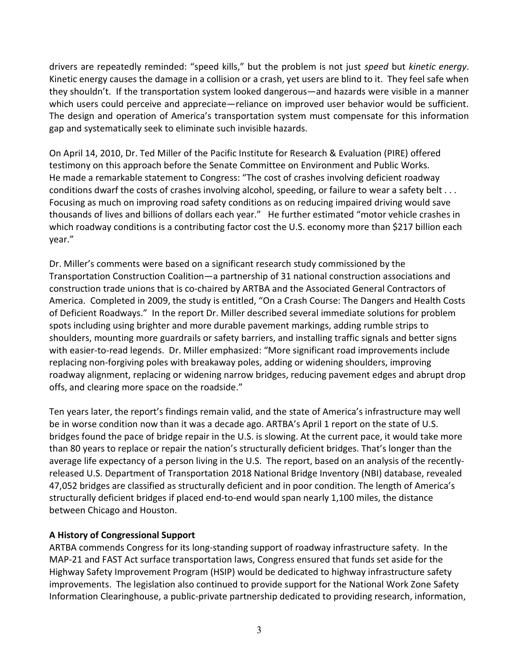drivers are repeatedly reminded: "speed kills," but the problem is not just speed but kinetic energy. Kinetic energy causes the damage in a collision or a crash, yet users are blind to it. They feel safe when they shouldn't. If the transportation system looked dangerous—and hazards were visible in a manner which users could perceive and appreciate—reliance on improved user behavior would be sufficient. The design and operation of America's transportation system must compensate for this information gap and systematically seek to eliminate such invisible hazards.

On April 14, 2010, Dr. Ted Miller of the Pacific Institute for Research & Evaluation (PIRE) offered testimony on this approach before the Senate Committee on Environment and Public Works. He made a remarkable statement to Congress: "The cost of crashes involving deficient roadway conditions dwarf the costs of crashes involving alcohol, speeding, or failure to wear a safety belt . . . Focusing as much on improving road safety conditions as on reducing impaired driving would save thousands of lives and billions of dollars each year." He further estimated "motor vehicle crashes in which roadway conditions is a contributing factor cost the U.S. economy more than \$217 billion each year."

Dr. Miller's comments were based on a significant research study commissioned by the Transportation Construction Coalition—a partnership of 31 national construction associations and construction trade unions that is co-chaired by ARTBA and the Associated General Contractors of America. Completed in 2009, the study is entitled, "On a Crash Course: The Dangers and Health Costs of Deficient Roadways." In the report Dr. Miller described several immediate solutions for problem spots including using brighter and more durable pavement markings, adding rumble strips to shoulders, mounting more guardrails or safety barriers, and installing traffic signals and better signs with easier-to-read legends. Dr. Miller emphasized: "More significant road improvements include replacing non-forgiving poles with breakaway poles, adding or widening shoulders, improving roadway alignment, replacing or widening narrow bridges, reducing pavement edges and abrupt drop offs, and clearing more space on the roadside."

Ten years later, the report's findings remain valid, and the state of America's infrastructure may well be in worse condition now than it was a decade ago. ARTBA's April 1 report on the state of U.S. bridges found the pace of bridge repair in the U.S. is slowing. At the current pace, it would take more than 80 years to replace or repair the nation's structurally deficient bridges. That's longer than the average life expectancy of a person living in the U.S. The report, based on an analysis of the recentlyreleased U.S. Department of Transportation 2018 National Bridge Inventory (NBI) database, revealed 47,052 bridges are classified as structurally deficient and in poor condition. The length of America's structurally deficient bridges if placed end-to-end would span nearly 1,100 miles, the distance between Chicago and Houston.

#### A History of Congressional Support

ARTBA commends Congress for its long-standing support of roadway infrastructure safety. In the MAP-21 and FAST Act surface transportation laws, Congress ensured that funds set aside for the Highway Safety Improvement Program (HSIP) would be dedicated to highway infrastructure safety improvements. The legislation also continued to provide support for the National Work Zone Safety Information Clearinghouse, a public-private partnership dedicated to providing research, information,